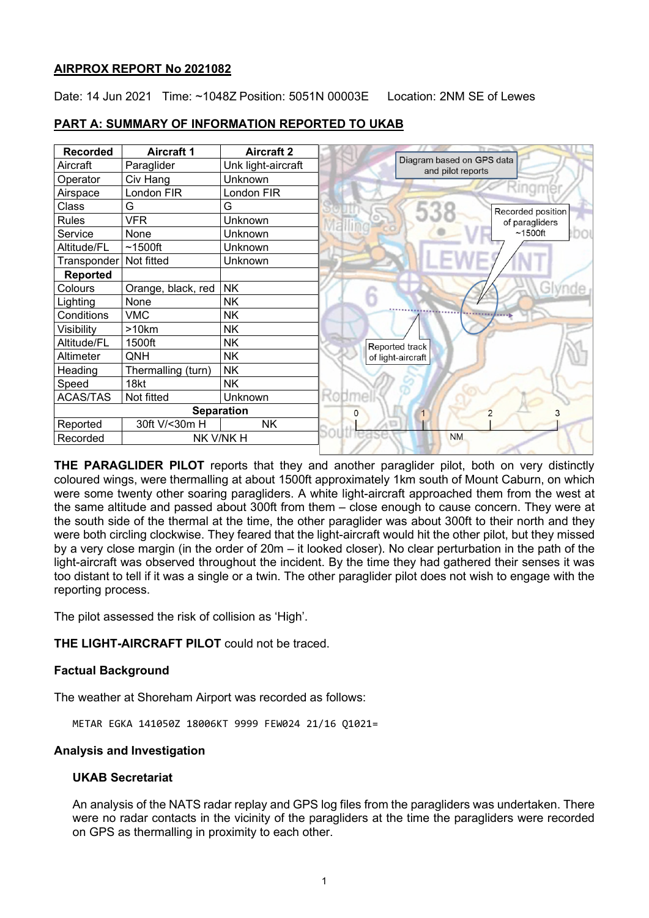## **AIRPROX REPORT No 2021082**

Date: 14 Jun 2021 Time: ~1048Z Position: 5051N 00003E Location: 2NM SE of Lewes

| <b>Recorded</b>          | <b>Aircraft 1</b>  | <b>Aircraft 2</b>  |                                                |
|--------------------------|--------------------|--------------------|------------------------------------------------|
| Aircraft                 | Paraglider         | Unk light-aircraft | Diagram based on GPS data<br>and pilot reports |
| Operator                 | Civ Hang           | Unknown            |                                                |
| Airspace                 | London FIR         | London FIR         |                                                |
| Class                    | G                  | G                  | Recorded position                              |
| <b>Rules</b>             | VFR                | Unknown            | of paragliders                                 |
| Service                  | None               | Unknown            | $~1500$ ft                                     |
| Altitude/FL              | $~1500$ ft         | Unknown            |                                                |
| Transponder   Not fitted |                    | Unknown            |                                                |
| <b>Reported</b>          |                    |                    |                                                |
| Colours                  | Orange, black, red | <b>NK</b>          |                                                |
| Lighting                 | None               | <b>NK</b>          |                                                |
| Conditions               | <b>VMC</b>         | <b>NK</b>          |                                                |
| Visibility               | >10km              | <b>NK</b>          |                                                |
| Altitude/FL              | 1500ft             | NΚ                 | Reported track                                 |
| Altimeter                | QNH                | <b>NK</b>          | of light-aircraft                              |
| Heading                  | Thermalling (turn) | <b>NK</b>          |                                                |
| Speed                    | 18kt               | <b>NK</b>          |                                                |
| <b>ACAS/TAS</b>          | Not fitted         | Unknown            |                                                |
| <b>Separation</b>        |                    |                    | 2                                              |
| Reported                 | 30ft V/<30m H      | <b>NK</b>          |                                                |
| NK V/NK H<br>Recorded    |                    |                    | <b>NM</b>                                      |

## **PART A: SUMMARY OF INFORMATION REPORTED TO UKAB**

**THE PARAGLIDER PILOT** reports that they and another paraglider pilot, both on very distinctly coloured wings, were thermalling at about 1500ft approximately 1km south of Mount Caburn, on which were some twenty other soaring paragliders. A white light-aircraft approached them from the west at the same altitude and passed about 300ft from them – close enough to cause concern. They were at the south side of the thermal at the time, the other paraglider was about 300ft to their north and they were both circling clockwise. They feared that the light-aircraft would hit the other pilot, but they missed by a very close margin (in the order of 20m – it looked closer). No clear perturbation in the path of the light-aircraft was observed throughout the incident. By the time they had gathered their senses it was too distant to tell if it was a single or a twin. The other paraglider pilot does not wish to engage with the reporting process.

The pilot assessed the risk of collision as 'High'.

**THE LIGHT-AIRCRAFT PILOT** could not be traced.

## **Factual Background**

The weather at Shoreham Airport was recorded as follows:

METAR EGKA 141050Z 18006KT 9999 FEW024 21/16 Q1021=

## **Analysis and Investigation**

## **UKAB Secretariat**

An analysis of the NATS radar replay and GPS log files from the paragliders was undertaken. There were no radar contacts in the vicinity of the paragliders at the time the paragliders were recorded on GPS as thermalling in proximity to each other.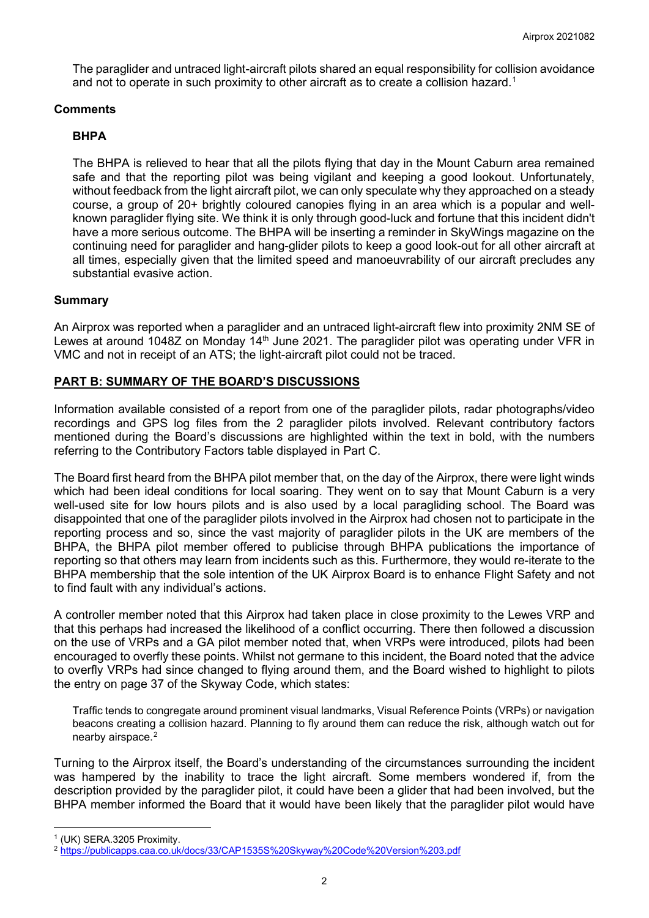The paraglider and untraced light-aircraft pilots shared an equal responsibility for collision avoidance and not to operate in such proximity to other aircraft as to create a collision hazard. $^{\text{\tiny{\text{1}}}}$  $^{\text{\tiny{\text{1}}}}$  $^{\text{\tiny{\text{1}}}}$ 

## **Comments**

## **BHPA**

The BHPA is relieved to hear that all the pilots flying that day in the Mount Caburn area remained safe and that the reporting pilot was being vigilant and keeping a good lookout. Unfortunately, without feedback from the light aircraft pilot, we can only speculate why they approached on a steady course, a group of 20+ brightly coloured canopies flying in an area which is a popular and wellknown paraglider flying site. We think it is only through good-luck and fortune that this incident didn't have a more serious outcome. The BHPA will be inserting a reminder in SkyWings magazine on the continuing need for paraglider and hang-glider pilots to keep a good look-out for all other aircraft at all times, especially given that the limited speed and manoeuvrability of our aircraft precludes any substantial evasive action.

## **Summary**

An Airprox was reported when a paraglider and an untraced light-aircraft flew into proximity 2NM SE of Lewes at around 1048Z on Monday 14<sup>th</sup> June 2021. The paraglider pilot was operating under VFR in VMC and not in receipt of an ATS; the light-aircraft pilot could not be traced.

# **PART B: SUMMARY OF THE BOARD'S DISCUSSIONS**

Information available consisted of a report from one of the paraglider pilots, radar photographs/video recordings and GPS log files from the 2 paraglider pilots involved. Relevant contributory factors mentioned during the Board's discussions are highlighted within the text in bold, with the numbers referring to the Contributory Factors table displayed in Part C.

The Board first heard from the BHPA pilot member that, on the day of the Airprox, there were light winds which had been ideal conditions for local soaring. They went on to say that Mount Caburn is a very well-used site for low hours pilots and is also used by a local paragliding school. The Board was disappointed that one of the paraglider pilots involved in the Airprox had chosen not to participate in the reporting process and so, since the vast majority of paraglider pilots in the UK are members of the BHPA, the BHPA pilot member offered to publicise through BHPA publications the importance of reporting so that others may learn from incidents such as this. Furthermore, they would re-iterate to the BHPA membership that the sole intention of the UK Airprox Board is to enhance Flight Safety and not to find fault with any individual's actions.

A controller member noted that this Airprox had taken place in close proximity to the Lewes VRP and that this perhaps had increased the likelihood of a conflict occurring. There then followed a discussion on the use of VRPs and a GA pilot member noted that, when VRPs were introduced, pilots had been encouraged to overfly these points. Whilst not germane to this incident, the Board noted that the advice to overfly VRPs had since changed to flying around them, and the Board wished to highlight to pilots the entry on page 37 of the Skyway Code, which states:

Traffic tends to congregate around prominent visual landmarks, Visual Reference Points (VRPs) or navigation beacons creating a collision hazard. Planning to fly around them can reduce the risk, although watch out for nearby airspace.<sup>[2](#page-1-1)</sup>

Turning to the Airprox itself, the Board's understanding of the circumstances surrounding the incident was hampered by the inability to trace the light aircraft. Some members wondered if, from the description provided by the paraglider pilot, it could have been a glider that had been involved, but the BHPA member informed the Board that it would have been likely that the paraglider pilot would have

<span id="page-1-0"></span><sup>1</sup> (UK) SERA.3205 Proximity.

<span id="page-1-1"></span><sup>2</sup> <https://publicapps.caa.co.uk/docs/33/CAP1535S%20Skyway%20Code%20Version%203.pdf>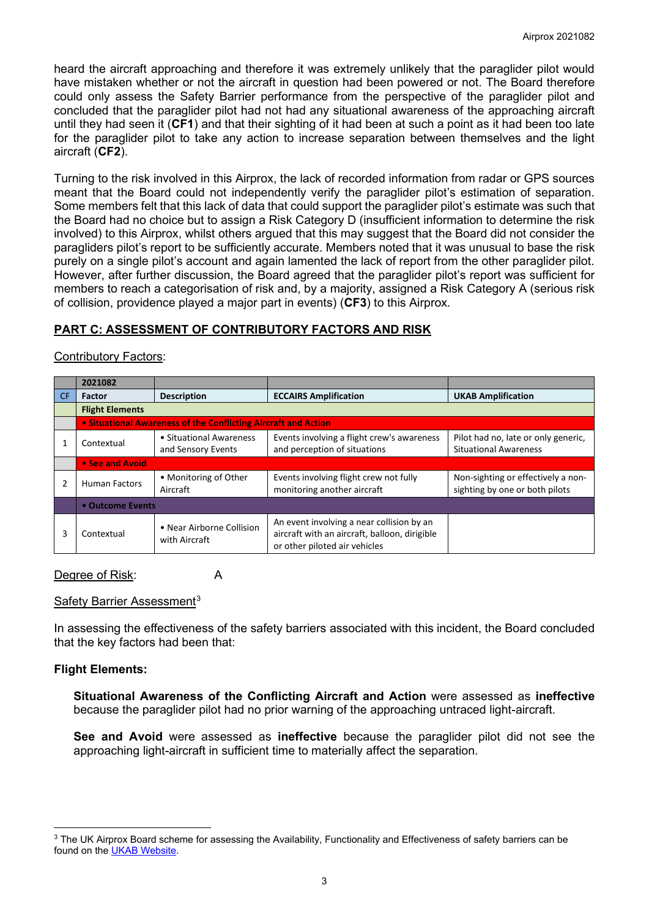heard the aircraft approaching and therefore it was extremely unlikely that the paraglider pilot would have mistaken whether or not the aircraft in question had been powered or not. The Board therefore could only assess the Safety Barrier performance from the perspective of the paraglider pilot and concluded that the paraglider pilot had not had any situational awareness of the approaching aircraft until they had seen it (**CF1**) and that their sighting of it had been at such a point as it had been too late for the paraglider pilot to take any action to increase separation between themselves and the light aircraft (**CF2**).

Turning to the risk involved in this Airprox, the lack of recorded information from radar or GPS sources meant that the Board could not independently verify the paraglider pilot's estimation of separation. Some members felt that this lack of data that could support the paraglider pilot's estimate was such that the Board had no choice but to assign a Risk Category D (insufficient information to determine the risk involved) to this Airprox, whilst others argued that this may suggest that the Board did not consider the paragliders pilot's report to be sufficiently accurate. Members noted that it was unusual to base the risk purely on a single pilot's account and again lamented the lack of report from the other paraglider pilot. However, after further discussion, the Board agreed that the paraglider pilot's report was sufficient for members to reach a categorisation of risk and, by a majority, assigned a Risk Category A (serious risk of collision, providence played a major part in events) (**CF3**) to this Airprox.

## **PART C: ASSESSMENT OF CONTRIBUTORY FACTORS AND RISK**

### Contributory Factors:

|     | 2021082                                                        |                                               |                                                                                                                             |                                                                      |  |  |
|-----|----------------------------------------------------------------|-----------------------------------------------|-----------------------------------------------------------------------------------------------------------------------------|----------------------------------------------------------------------|--|--|
| CF. | <b>Factor</b>                                                  | <b>Description</b>                            | <b>ECCAIRS Amplification</b>                                                                                                | <b>UKAB Amplification</b>                                            |  |  |
|     | <b>Flight Elements</b>                                         |                                               |                                                                                                                             |                                                                      |  |  |
|     | • Situational Awareness of the Conflicting Aircraft and Action |                                               |                                                                                                                             |                                                                      |  |  |
|     | Contextual                                                     | • Situational Awareness<br>and Sensory Events | Events involving a flight crew's awareness<br>and perception of situations                                                  | Pilot had no, late or only generic,<br><b>Situational Awareness</b>  |  |  |
|     | • See and Avoid                                                |                                               |                                                                                                                             |                                                                      |  |  |
|     | <b>Human Factors</b>                                           | • Monitoring of Other<br>Aircraft             | Events involving flight crew not fully<br>monitoring another aircraft                                                       | Non-sighting or effectively a non-<br>sighting by one or both pilots |  |  |
|     | • Outcome Events                                               |                                               |                                                                                                                             |                                                                      |  |  |
| 3   | Contextual                                                     | • Near Airborne Collision<br>with Aircraft    | An event involving a near collision by an<br>aircraft with an aircraft, balloon, dirigible<br>or other piloted air vehicles |                                                                      |  |  |

#### Degree of Risk: A

### Safety Barrier Assessment<sup>[3](#page-2-0)</sup>

In assessing the effectiveness of the safety barriers associated with this incident, the Board concluded that the key factors had been that:

### **Flight Elements:**

**Situational Awareness of the Conflicting Aircraft and Action** were assessed as **ineffective** because the paraglider pilot had no prior warning of the approaching untraced light-aircraft.

**See and Avoid** were assessed as **ineffective** because the paraglider pilot did not see the approaching light-aircraft in sufficient time to materially affect the separation.

<span id="page-2-0"></span><sup>&</sup>lt;sup>3</sup> The UK Airprox Board scheme for assessing the Availability, Functionality and Effectiveness of safety barriers can be found on the [UKAB Website.](http://www.airproxboard.org.uk/Learn-more/Airprox-Barrier-Assessment/)